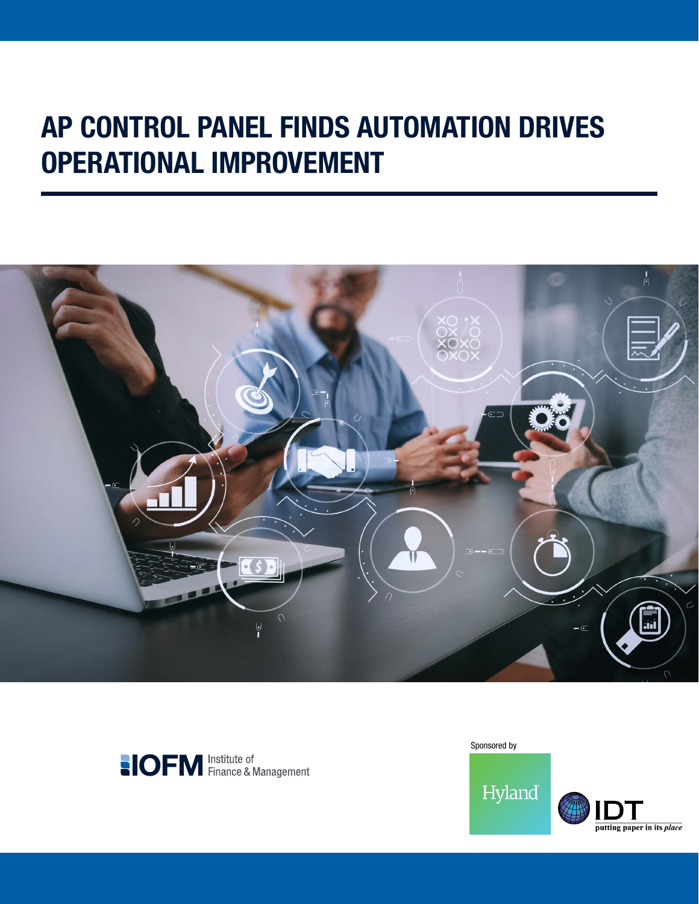# AP CONTROL PANEL FINDS AUTOMATION DRIVES OPERATIONAL IMPROVEMENT





Sponsored by

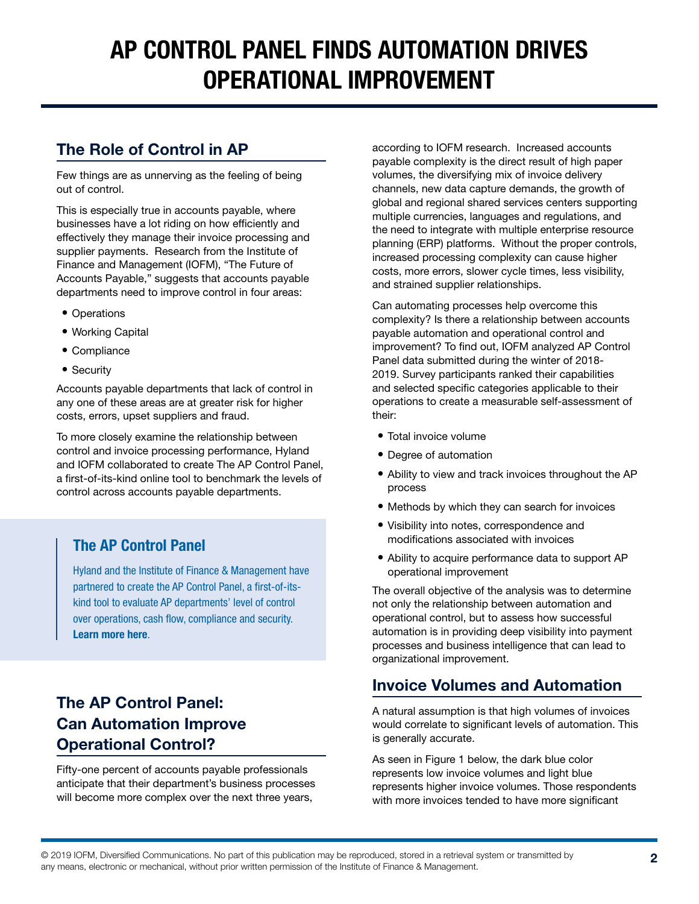## AP CONTROL PANEL FINDS AUTOMATION DRIVES OPERATIONAL IMPROVEMENT

#### The Role of Control in AP

Few things are as unnerving as the feeling of being out of control.

This is especially true in accounts payable, where businesses have a lot riding on how efficiently and effectively they manage their invoice processing and supplier payments. Research from the Institute of Finance and Management (IOFM), "The Future of Accounts Payable," suggests that accounts payable departments need to improve control in four areas:

- Operations
- Working Capital
- Compliance
- Security

Accounts payable departments that lack of control in any one of these areas are at greater risk for higher costs, errors, upset suppliers and fraud.

To more closely examine the relationship between control and invoice processing performance, Hyland and IOFM collaborated to create The AP Control Panel, a first-of-its-kind online tool to benchmark the levels of control across accounts payable departments.

#### The AP Control Panel

Hyland and the Institute of Finance & Management have partnered to create the AP Control Panel, a first-of-itskind tool to evaluate AP departments' level of control over operations, cash flow, compliance and security. [Learn more here](https://www.hyland.com/explore/accounts-payable/control-panel).

### The AP Control Panel: Can Automation Improve Operational Control?

Fifty-one percent of accounts payable professionals anticipate that their department's business processes will become more complex over the next three years,

according to IOFM research. Increased accounts payable complexity is the direct result of high paper volumes, the diversifying mix of invoice delivery channels, new data capture demands, the growth of global and regional shared services centers supporting multiple currencies, languages and regulations, and the need to integrate with multiple enterprise resource planning (ERP) platforms. Without the proper controls, increased processing complexity can cause higher costs, more errors, slower cycle times, less visibility, and strained supplier relationships.

Can automating processes help overcome this complexity? Is there a relationship between accounts payable automation and operational control and improvement? To find out, IOFM analyzed AP Control Panel data submitted during the winter of 2018- 2019. Survey participants ranked their capabilities and selected specific categories applicable to their operations to create a measurable self-assessment of their:

- Total invoice volume
- Degree of automation
- Ability to view and track invoices throughout the AP process
- Methods by which they can search for invoices
- Visibility into notes, correspondence and modifications associated with invoices
- Ability to acquire performance data to support AP operational improvement

The overall objective of the analysis was to determine not only the relationship between automation and operational control, but to assess how successful automation is in providing deep visibility into payment processes and business intelligence that can lead to organizational improvement.

#### Invoice Volumes and Automation

A natural assumption is that high volumes of invoices would correlate to significant levels of automation. This is generally accurate.

As seen in Figure 1 below, the dark blue color represents low invoice volumes and light blue represents higher invoice volumes. Those respondents with more invoices tended to have more significant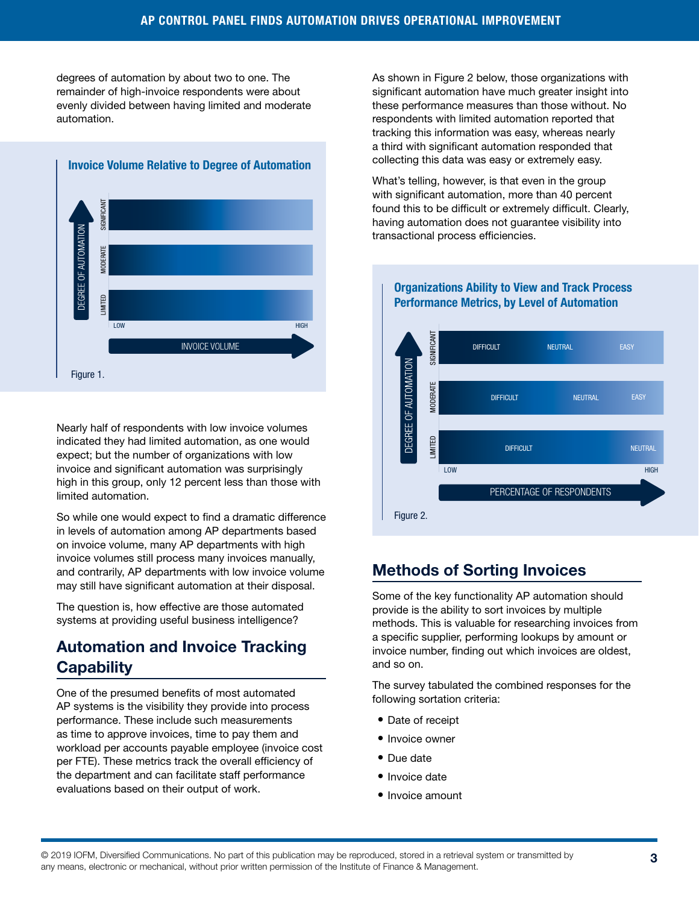degrees of automation by about two to one. The remainder of high-invoice respondents were about evenly divided between having limited and moderate automation.



Nearly half of respondents with low invoice volumes indicated they had limited automation, as one would expect; but the number of organizations with low invoice and significant automation was surprisingly high in this group, only 12 percent less than those with limited automation.

So while one would expect to find a dramatic difference in levels of automation among AP departments based on invoice volume, many AP departments with high invoice volumes still process many invoices manually, and contrarily, AP departments with low invoice volume may still have significant automation at their disposal.

The question is, how effective are those automated systems at providing useful business intelligence?

#### Automation and Invoice Tracking **Capability**

One of the presumed benefits of most automated AP systems is the visibility they provide into process performance. These include such measurements as time to approve invoices, time to pay them and workload per accounts payable employee (invoice cost per FTE). These metrics track the overall efficiency of the department and can facilitate staff performance evaluations based on their output of work.

As shown in Figure 2 below, those organizations with significant automation have much greater insight into these performance measures than those without. No respondents with limited automation reported that tracking this information was easy, whereas nearly a third with significant automation responded that collecting this data was easy or extremely easy.

What's telling, however, is that even in the group with significant automation, more than 40 percent found this to be difficult or extremely difficult. Clearly, having automation does not guarantee visibility into transactional process efficiencies.



#### Organizations Ability to View and Track Process Performance Metrics, by Level of Automation

#### Methods of Sorting Invoices

Some of the key functionality AP automation should provide is the ability to sort invoices by multiple methods. This is valuable for researching invoices from a specific supplier, performing lookups by amount or invoice number, finding out which invoices are oldest, and so on.

The survey tabulated the combined responses for the following sortation criteria:

- Date of receipt
- Invoice owner
- Due date
- Invoice date
- Invoice amount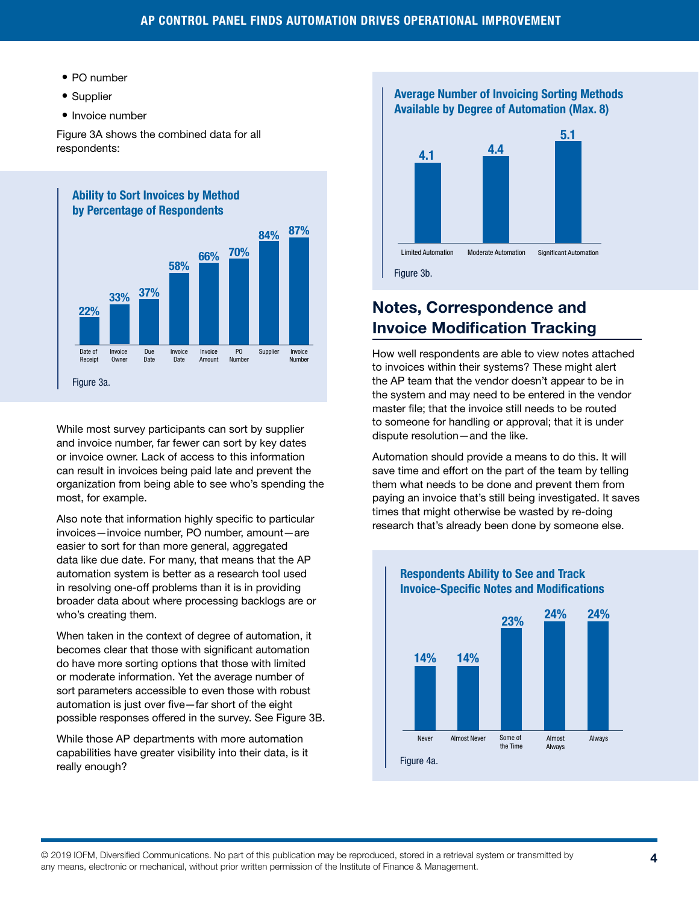- PO number
- Supplier
- Invoice number

Figure 3A shows the combined data for all respondents:



While most survey participants can sort by supplier and invoice number, far fewer can sort by key dates or invoice owner. Lack of access to this information can result in invoices being paid late and prevent the organization from being able to see who's spending the most, for example.

Also note that information highly specific to particular invoices—invoice number, PO number, amount—are easier to sort for than more general, aggregated data like due date. For many, that means that the AP automation system is better as a research tool used in resolving one-off problems than it is in providing broader data about where processing backlogs are or who's creating them.

When taken in the context of degree of automation, it becomes clear that those with significant automation do have more sorting options that those with limited or moderate information. Yet the average number of sort parameters accessible to even those with robust automation is just over five—far short of the eight possible responses offered in the survey. See Figure 3B.

While those AP departments with more automation capabilities have greater visibility into their data, is it really enough?

Average Number of Invoicing Sorting Methods Available by Degree of Automation (Max. 8)



### Notes, Correspondence and Invoice Modification Tracking

How well respondents are able to view notes attached to invoices within their systems? These might alert the AP team that the vendor doesn't appear to be in the system and may need to be entered in the vendor master file; that the invoice still needs to be routed to someone for handling or approval; that it is under dispute resolution—and the like.

Automation should provide a means to do this. It will save time and effort on the part of the team by telling them what needs to be done and prevent them from paying an invoice that's still being investigated. It saves times that might otherwise be wasted by re-doing research that's already been done by someone else.



#### Respondents Ability to See and Track Invoice-Specific Notes and Modifications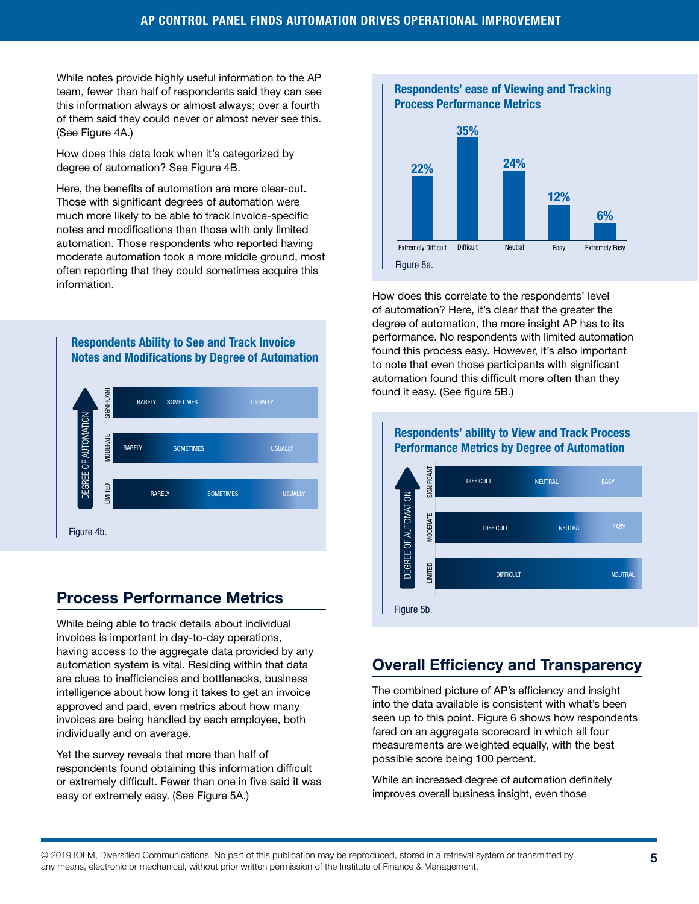While notes provide highly useful information to the AP team, fewer than half of respondents said they can see this information always or almost always; over a fourth of them said they could never or almost never see this. (See Figure 4A.)

How does this data look when it's categorized by degree of automation? See Figure 4B.

Here, the benefits of automation are more clear-cut. Those with significant degrees of automation were much more likely to be able to track invoice-specific notes and modifications than those with only limited automation. Those respondents who reported having moderate automation took a more middle ground, most often reporting that they could sometimes acquire this information.

Respondents Ability to See and Track Invoice Notes and Modifications by Degree of Automation



### Process Performance Metrics

While being able to track details about individual invoices is important in day-to-day operations, having access to the aggregate data provided by any automation system is vital. Residing within that data are clues to inefficiencies and bottlenecks, business intelligence about how long it takes to get an invoice approved and paid, even metrics about how many invoices are being handled by each employee, both individually and on average.

Yet the survey reveals that more than half of respondents found obtaining this information difficult or extremely difficult. Fewer than one in five said it was easy or extremely easy. (See Figure 5A.)



Respondents' ease of Viewing and Tracking

How does this correlate to the respondents' level of automation? Here, it's clear that the greater the degree of automation, the more insight AP has to its performance. No respondents with limited automation found this process easy. However, it's also important to note that even those participants with significant automation found this difficult more often than they found it easy. (See figure 5B.)



## Respondents' ability to View and Track Process

#### Overall Efficiency and Transparency

The combined picture of AP's efficiency and insight into the data available is consistent with what's been seen up to this point. Figure 6 shows how respondents fared on an aggregate scorecard in which all four measurements are weighted equally, with the best possible score being 100 percent.

While an increased degree of automation definitely improves overall business insight, even those